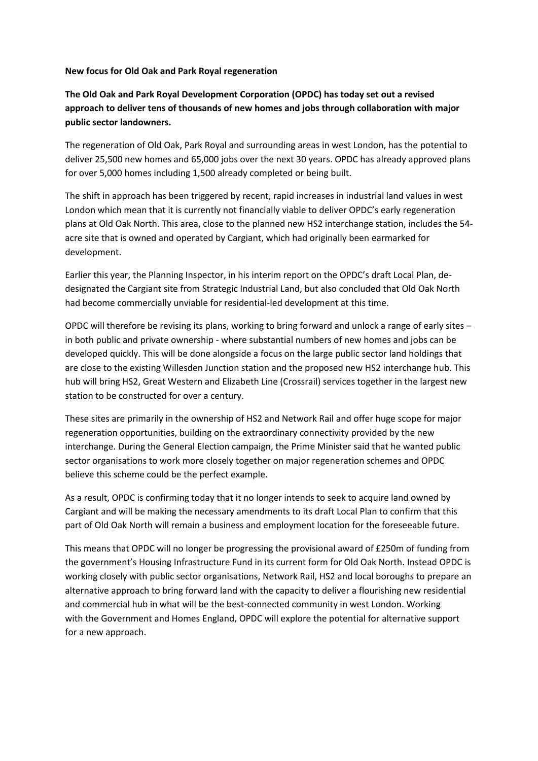#### **New focus for Old Oak and Park Royal regeneration**

# **The Old Oak and Park Royal Development Corporation (OPDC) has today set out a revised approach to deliver tens of thousands of new homes and jobs through collaboration with major public sector landowners.**

The regeneration of Old Oak, Park Royal and surrounding areas in west London, has the potential to deliver 25,500 new homes and 65,000 jobs over the next 30 years. OPDC has already approved plans for over 5,000 homes including 1,500 already completed or being built.

The shift in approach has been triggered by recent, rapid increases in industrial land values in west London which mean that it is currently not financially viable to deliver OPDC's early regeneration plans at Old Oak North. This area, close to the planned new HS2 interchange station, includes the 54 acre site that is owned and operated by Cargiant, which had originally been earmarked for development.

Earlier this year, the Planning Inspector, in his interim report on the OPDC's draft Local Plan, dedesignated the Cargiant site from Strategic Industrial Land, but also concluded that Old Oak North had become commercially unviable for residential-led development at this time.

OPDC will therefore be revising its plans, working to bring forward and unlock a range of early sites – in both public and private ownership - where substantial numbers of new homes and jobs can be developed quickly. This will be done alongside a focus on the large public sector land holdings that are close to the existing Willesden Junction station and the proposed new HS2 interchange hub. This hub will bring HS2, Great Western and Elizabeth Line (Crossrail) services together in the largest new station to be constructed for over a century.

These sites are primarily in the ownership of HS2 and Network Rail and offer huge scope for major regeneration opportunities, building on the extraordinary connectivity provided by the new interchange. During the General Election campaign, the Prime Minister said that he wanted public sector organisations to work more closely together on major regeneration schemes and OPDC believe this scheme could be the perfect example.

As a result, OPDC is confirming today that it no longer intends to seek to acquire land owned by Cargiant and will be making the necessary amendments to its draft Local Plan to confirm that this part of Old Oak North will remain a business and employment location for the foreseeable future.

This means that OPDC will no longer be progressing the provisional award of £250m of funding from the government's Housing Infrastructure Fund in its current form for Old Oak North. Instead OPDC is working closely with public sector organisations, Network Rail, HS2 and local boroughs to prepare an alternative approach to bring forward land with the capacity to deliver a flourishing new residential and commercial hub in what will be the best-connected community in west London. Working with the Government and Homes England, OPDC will explore the potential for alternative support for a new approach.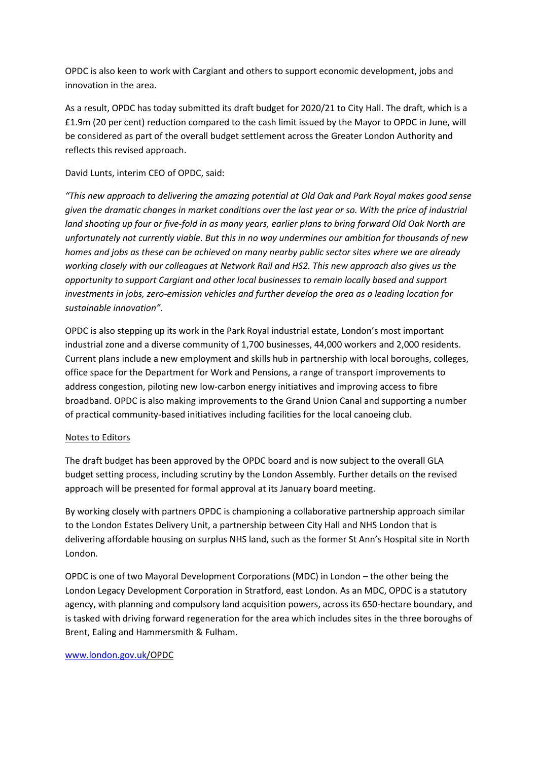OPDC is also keen to work with Cargiant and others to support economic development, jobs and innovation in the area.

As a result, OPDC has today submitted its draft budget for 2020/21 to City Hall. The draft, which is a £1.9m (20 per cent) reduction compared to the cash limit issued by the Mayor to OPDC in June, will be considered as part of the overall budget settlement across the Greater London Authority and reflects this revised approach.

## David Lunts, interim CEO of OPDC, said:

*"This new approach to delivering the amazing potential at Old Oak and Park Royal makes good sense given the dramatic changes in market conditions over the last year or so. With the price of industrial land shooting up four or five-fold in as many years, earlier plans to bring forward Old Oak North are unfortunately not currently viable. But this in no way undermines our ambition for thousands of new homes and jobs as these can be achieved on many nearby public sector sites where we are already working closely with our colleagues at Network Rail and HS2. This new approach also gives us the opportunity to support Cargiant and other local businesses to remain locally based and support investments in jobs, zero-emission vehicles and further develop the area as a leading location for sustainable innovation".*

OPDC is also stepping up its work in the Park Royal industrial estate, London's most important industrial zone and a diverse community of 1,700 businesses, 44,000 workers and 2,000 residents. Current plans include a new employment and skills hub in partnership with local boroughs, colleges, office space for the Department for Work and Pensions, a range of transport improvements to address congestion, piloting new low-carbon energy initiatives and improving access to fibre broadband. OPDC is also making improvements to the Grand Union Canal and supporting a number of practical community-based initiatives including facilities for the local canoeing club.

#### Notes to Editors

The draft budget has been approved by the OPDC board and is now subject to the overall GLA budget setting process, including scrutiny by the London Assembly. Further details on the revised approach will be presented for formal approval at its January board meeting.

By working closely with partners OPDC is championing a collaborative partnership approach similar to the London Estates Delivery Unit, a partnership between City Hall and NHS London that is delivering affordable housing on surplus NHS land, such as the former St Ann's Hospital site in North London.

OPDC is one of two Mayoral Development Corporations (MDC) in London – the other being the London Legacy Development Corporation in Stratford, east London. As an MDC, OPDC is a statutory agency, with planning and compulsory land acquisition powers, across its 650-hectare boundary, and is tasked with driving forward regeneration for the area which includes sites in the three boroughs of Brent, Ealing and Hammersmith & Fulham.

#### [www.london.gov.uk/](http://www.london.gov.uk/#_blank)OPDC